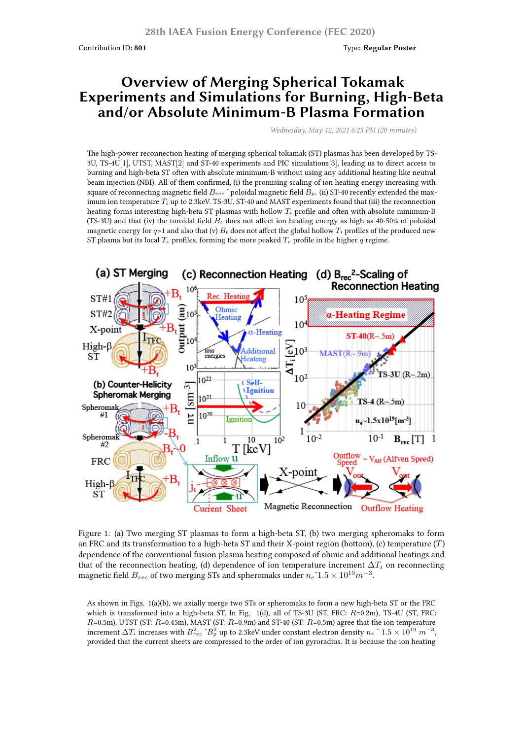## **Overview of Merging Spherical Tokamak Experiments and Simulations for Burning, High-Beta and/or Absolute Minimum-B Plasma Formation**

*Wednesday, May 12, 2021 6:25 PM (20 minutes)*

The high-power reconnection heating of merging spherical tokamak (ST) plasmas has been developed by TS-3U, TS-4U[1], UTST, MAST[2] and ST-40 experiments and PIC simulations[3], leading us to direct access to burning and high-beta ST often with absolute minimum-B without using any additional heating like neutral beam injection (NBI). All of them confirmed, (i) the promising scaling of ion heating energy increasing with square of reconnecting magnetic field  $B_{rec}$ <sup> $\sim$ </sup> poloidal magnetic field  $B_p$ . (ii) ST-40 recently extended the maximum ion temperature *T<sup>i</sup>* up to 2.3keV. TS-3U, ST-40 and MAST experiments found that (iii) the reconnection heating forms interesting high-beta ST plasmas with hollow *T<sup>i</sup>* profile and often with absolute minimum-B (TS-3U) and that (iv) the toroidal field *B<sup>t</sup>* does not affect ion heating energy as high as 40-50% of poloidal magnetic energy for  $q$ >1 and also that (v)  $B_t$  does not affect the global hollow  $T_i$  profiles of the produced new ST plasma but its local  $T_e$  profiles, forming the more peaked  $T_e$  profile in the higher  $q$  regime.



Figure 1: (a) Two merging ST plasmas to form a high-beta ST, (b) two merging spheromaks to form an FRC and its transformation to a high-beta ST and their X-point region (bottom), (c) temperature (*T*) dependence of the conventional fusion plasma heating composed of ohmic and additional heatings and that of the reconnection heating, (d) dependence of ion temperature increment  $\Delta T_i$  on reconnecting magnetic field  $B_{rec}$  of two merging STs and spheromaks under  $n_e$ <sup> $\tau$ </sup>1.5  $\times$   $10^{19} m^{-3}$ .

As shown in Figs. 1(a)(b), we axially merge two STs or spheromaks to form a new high-beta ST or the FRC which is transformed into a high-beta ST. In Fig. 1(d), all of TS-3U (ST, FRC: *R*=0.2m), TS-4U (ST, FRC: *R*=0.5m), UTST (ST: *R*=0.45m), MAST (ST: *R*=0.9m) and ST-40 (ST: *R*=0.5m) agree that the ion temperature increment  $\Delta T_i$  increases with  $B_{rec}^2$  ~ $B_p^2$  up to 2.3keV under constant electron density  $n_e$  <sup>≈</sup> 1.5 × 10<sup>19</sup>  $m^{-3}$ , provided that the current sheets are compressed to the order of ion gyroradius. It is because the ion heating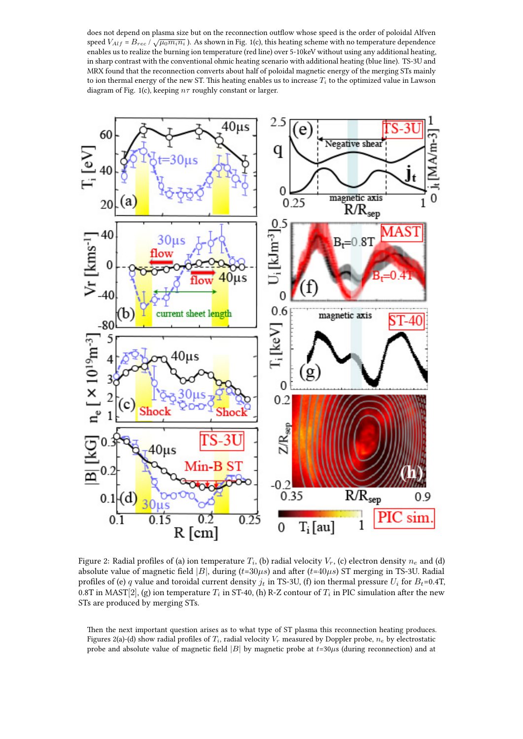does not depend on plasma size but on the reconnection outflow whose speed is the order of poloidal Alfven speed  $V_{Aif}$  =  $B_{rec}$  / $\sqrt{\mu_0 m_i n_i}$  ). As shown in Fig. 1(c), this heating scheme with no temperature dependence enables us to realize the burning ion temperature (red line) over 5-10keV without using any additional heating, in sharp contrast with the conventional ohmic heating scenario with additional heating (blue line). TS-3U and MRX found that the reconnection converts about half of poloidal magnetic energy of the merging STs mainly to ion thermal energy of the new ST. This heating enables us to increase *T<sup>i</sup>* to the optimized value in Lawson diagram of Fig. 1(c), keeping *nτ* roughly constant or larger.



Figure 2: Radial profiles of (a) ion temperature  $T_i$ , (b) radial velocity  $V_r$ , (c) electron density  $n_e$  and (d) absolute value of magnetic field  $|B|$ , during  $(t=30\mu s)$  and after  $(t=40\mu s)$  ST merging in TS-3U. Radial profiles of (e) *q* value and toroidal current density  $j_t$  in TS-3U, (f) ion thermal pressure  $U_i$  for  $B_t$ =0.4T, 0.8T in MAST[2], (g) ion temperature  $T_i$  in ST-40, (h) R-Z contour of  $T_i$  in PIC simulation after the new STs are produced by merging STs.

Then the next important question arises as to what type of ST plasma this reconnection heating produces. Figures 2(a)-(d) show radial profiles of  $T_i$ , radial velocity  $V_r$  measured by Doppler probe,  $n_e$  by electrostatic probe and absolute value of magnetic field  $|B|$  by magnetic probe at  $t=30\mu s$  (during reconnection) and at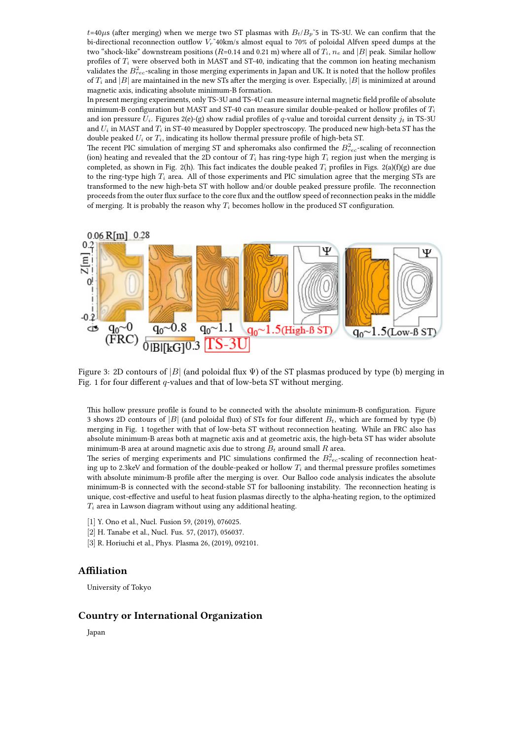$t=40\mu s$  (after merging) when we merge two ST plasmas with  $B_t/B_p$ <sup> $\sim$ </sup>5 in TS-3U. We can confirm that the bi-directional reconnection outflow  $V_r^2$ 40km/s almost equal to 70% of poloidal Alfven speed dumps at the two "shock-like" downstream positions ( $R=0.14$  and 0.21 m) where all of  $T_i$ ,  $n_e$  and  $|B|$  peak. Similar hollow profiles of  $T_i$  were observed both in MAST and ST-40, indicating that the common ion heating mechanism validates the  $B^2_{rec}$ -scaling in those merging experiments in Japan and UK. It is noted that the hollow profiles of *T<sup>i</sup>* and *|B|* are maintained in the new STs after the merging is over. Especially, *|B|* is minimized at around magnetic axis, indicating absolute minimum-B formation.

In present merging experiments, only TS-3U and TS-4U can measure internal magnetic field profile of absolute minimum-B configuration but MAST and ST-40 can measure similar double-peaked or hollow profiles of *T<sup>i</sup>* and ion pressure  $U_i$ . Figures 2(e)-(g) show radial profiles of *q*-value and toroidal current density  $j_t$  in TS-3U and *U<sup>i</sup>* in MAST and *T<sup>i</sup>* in ST-40 measured by Doppler spectroscopy. The produced new high-beta ST has the double peaked *U<sup>i</sup>* or *Ti*, indicating its hollow thermal pressure profile of high-beta ST.

The recent PIC simulation of merging ST and spheromaks also confirmed the  $B^2_{rec}$ -scaling of reconnection (ion) heating and revealed that the 2D contour of  $T_i$  has ring-type high  $T_i$  region just when the merging is completed, as shown in Fig. 2(h). This fact indicates the double peaked  $T_i$  profiles in Figs. 2(a)(f)(g) are due to the ring-type high  $T_i$  area. All of those experiments and PIC simulation agree that the merging STs are transformed to the new high-beta ST with hollow and/or double peaked pressure profile. The reconnection proceeds from the outer flux surface to the core flux and the outflow speed of reconnection peaks in the middle of merging. It is probably the reason why *T<sup>i</sup>* becomes hollow in the produced ST configuration.



Figure 3: 2D contours of  $|B|$  (and poloidal flux  $\Psi$ ) of the ST plasmas produced by type (b) merging in Fig. 1 for four different *q*-values and that of low-beta ST without merging.

This hollow pressure profile is found to be connected with the absolute minimum-B configuration. Figure 3 shows 2D contours of  $|B|$  (and poloidal flux) of STs for four different  $B_t$ , which are formed by type (b) merging in Fig. 1 together with that of low-beta ST without reconnection heating. While an FRC also has absolute minimum-B areas both at magnetic axis and at geometric axis, the high-beta ST has wider absolute minimum-B area at around magnetic axis due to strong  $B_t$  around small  $R$  area.

The series of merging experiments and PIC simulations confirmed the *B* 2 *rec*-scaling of reconnection heating up to 2.3keV and formation of the double-peaked or hollow  $T_i$  and thermal pressure profiles sometimes with absolute minimum-B profile after the merging is over. Our Balloo code analysis indicates the absolute minimum-B is connected with the second-stable ST for ballooning instability. The reconnection heating is unique, cost-effective and useful to heat fusion plasmas directly to the alpha-heating region, to the optimized *T<sup>i</sup>* area in Lawson diagram without using any additional heating.

- [1] Y. Ono et al., Nucl. Fusion 59, (2019), 076025.
- [2] H. Tanabe et al., Nucl. Fus. 57, (2017), 056037.
- [3] R. Horiuchi et al., Phys. Plasma 26, (2019), 092101.

## **Affiliation**

University of Tokyo

## **Country or International Organization**

Japan